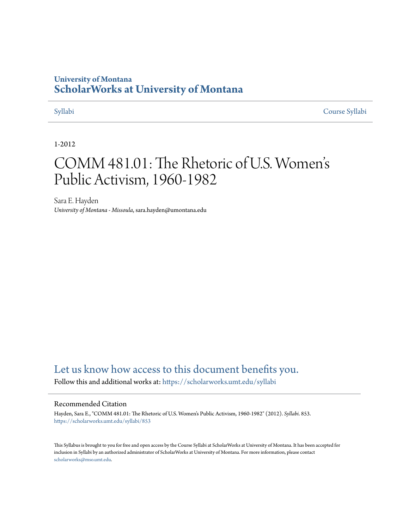# **University of Montana [ScholarWorks at University of Montana](https://scholarworks.umt.edu?utm_source=scholarworks.umt.edu%2Fsyllabi%2F853&utm_medium=PDF&utm_campaign=PDFCoverPages)**

[Syllabi](https://scholarworks.umt.edu/syllabi?utm_source=scholarworks.umt.edu%2Fsyllabi%2F853&utm_medium=PDF&utm_campaign=PDFCoverPages) [Course Syllabi](https://scholarworks.umt.edu/course_syllabi?utm_source=scholarworks.umt.edu%2Fsyllabi%2F853&utm_medium=PDF&utm_campaign=PDFCoverPages)

## 1-2012

# COMM 481.01: The Rhetoric of U.S. Women s ' Public Activism, 1960-1982

Sara E. Hayden *University of Montana - Missoula*, sara.hayden@umontana.edu

# [Let us know how access to this document benefits you.](https://goo.gl/forms/s2rGfXOLzz71qgsB2)

Follow this and additional works at: [https://scholarworks.umt.edu/syllabi](https://scholarworks.umt.edu/syllabi?utm_source=scholarworks.umt.edu%2Fsyllabi%2F853&utm_medium=PDF&utm_campaign=PDFCoverPages)

#### Recommended Citation

Hayden, Sara E., "COMM 481.01: The Rhetoric of U.S. Women's Public Activism, 1960-1982" (2012). *Syllabi*. 853. [https://scholarworks.umt.edu/syllabi/853](https://scholarworks.umt.edu/syllabi/853?utm_source=scholarworks.umt.edu%2Fsyllabi%2F853&utm_medium=PDF&utm_campaign=PDFCoverPages)

This Syllabus is brought to you for free and open access by the Course Syllabi at ScholarWorks at University of Montana. It has been accepted for inclusion in Syllabi by an authorized administrator of ScholarWorks at University of Montana. For more information, please contact [scholarworks@mso.umt.edu](mailto:scholarworks@mso.umt.edu).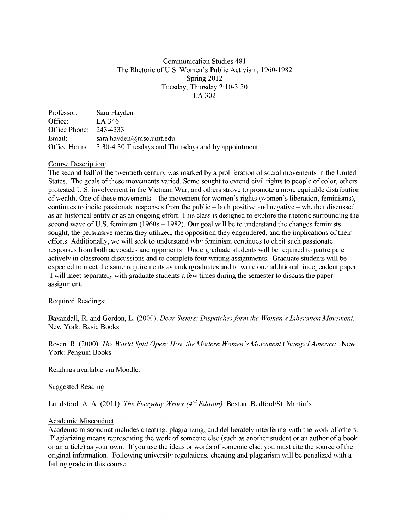## Communication Studies 481 The Rhetoric of U.S. Women's Public Activism, 1960-1982 Spring 2012 Tuesday, Thursday 2:10-3:30 LA 302

Professor: Sara Hayden Office: LA 346 Office Phone: 243-4333 Email: sara.hayden@mso.umt.edu Office Hours: 3:30-4:30 Tuesdays and Thursdays and by appointment

### Course Description:

The second half of the twentieth century was marked by a proliferation of social movements in the United States. The goals of these movements varied. Some sought to extend civil rights to people of color, others protested U.S. involvement in the Vietnam War, and others strove to promote a more equitable distribution of wealth. One of these movements - the movement for women's rights (women's liberation, feminisms), continues to incite passionate responses from the public - both positive and negative - whether discussed as an historical entity or as an ongoing effort. This class is designed to explore the rhetoric surrounding the second wave of U.S. feminism (1960s – 1982). Our goal will be to understand the changes feminists sought, the persuasive means they utilized, the opposition they engendered, and the implications of their efforts. Additionally, we will seek to understand why feminism continues to elicit such passionate responses from both advocates and opponents. Undergraduate students will be required to participate actively in classroom discussions and to complete four writing assignments. Graduate students will be expected to meet the same requirements as undergraduates and to write one additional, independent paper. I will meet separately with graduate students a few times during the semester to discuss the paper assignment.

### Required Readings:

Baxandall, R. and Gordon, L. (2000). *Dear Sisters: Dispatches form the Women's Liberation Movement.* New York: Basic Books.

Rosen, R. (2000). *The World Split Open: How the Modern Women's Movement Changed America.* New York: Penguin Books.

Readings available via Moodle.

### Suggested Reading:

Lundsford, A. A. (2011). *The Everyday Writer (4<sup>rd</sup> Edition)*. Boston: Bedford/St. Martin's.

#### Academic Misconduct:

Academic misconduct includes cheating, plagiarizing, and deliberately interfering with the work of others. Plagiarizing means representing the work of someone else (such as another student or an author of a book or an article) as your own. If you use the ideas or words of someone else, you must cite the source of the original information. Following university regulations, cheating and plagiarism will be penalized with a failing grade in this course.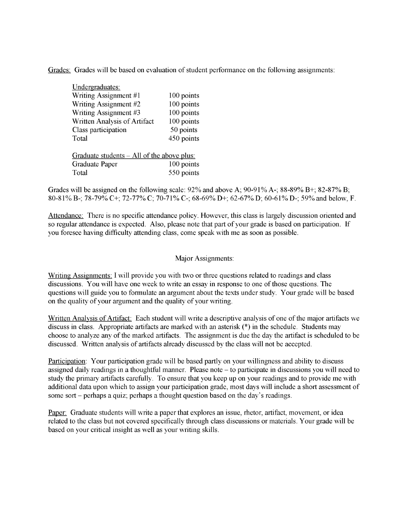Grades: Grades will be based on evaluation of student performance on the following assignments:

| Undergraduates:                            |            |  |
|--------------------------------------------|------------|--|
| Writing Assignment #1                      | 100 points |  |
| Writing Assignment #2                      | 100 points |  |
| Writing Assignment #3                      | 100 points |  |
| Written Analysis of Artifact               | 100 points |  |
| Class participation                        | 50 points  |  |
| Total                                      | 450 points |  |
|                                            |            |  |
| Graduate students – All of the above plus: |            |  |

Graduate Paper 100 points Total 550 points

Grades will be assigned on the following scale:  $92\%$  and above A;  $90-91\%$  A-;  $88-89\%$  B+;  $82-87\%$  B; 80-81% B-; 78-79% C+; 72-77% C; 70-71% C-; 68-69% D+; 62-67% D; 60-61% D-; 59% and below, F.

Attendance: There is no specific attendance policy. However, this class is largely discussion oriented and so regular attendance is expected. Also, please note that part of your grade is based on participation. If you foresee having difficulty attending class, come speak with me as soon as possible.

### Major Assignments:

Writing Assignments: I will provide you with two or three questions related to readings and class discussions. You will have one week to write an essay in response to one of those questions. The questions will guide you to formulate an argument about the texts under study. Your grade will be based on the quality of your argument and the quality of your writing.

Written Analysis of Artifact: Each student will write a descriptive analysis of one of the major artifacts we discuss in class. Appropriate artifacts are marked with an asterisk (\*) in the schedule. Students may choose to analyze any of the marked artifacts. The assignment is due the day the artifact is scheduled to be discussed. Written analysis of artifacts already discussed by the class will not be accepted.

Participation: Your participation grade will be based partly on your willingness and ability to discuss assigned daily readings in a thoughtful manner. Please note - to participate in discussions you will need to study the primary artifacts carefully. To ensure that you keep up on your readings and to provide me with additional data upon which to assign your participation grade, most days will include a short assessment of some sort – perhaps a quiz; perhaps a thought question based on the day's readings.

Paper: Graduate students will write a paper that explores an issue, rhetor, artifact, movement, or idea related to the class but not covered specifically through class discussions or materials. Your grade will be based on your critical insight as well as your writing skills.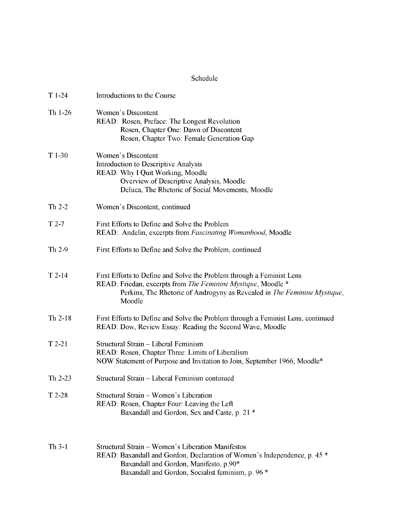## Schedule

| $T1-24$   | Introductions to the Course                                                                                                                                                                                                  |
|-----------|------------------------------------------------------------------------------------------------------------------------------------------------------------------------------------------------------------------------------|
| Th $1-26$ | Women's Discontent<br>READ: Rosen, Preface: The Longest Revolution<br>Rosen, Chapter One: Dawn of Discontent<br>Rosen, Chapter Two: Female Generation Gap                                                                    |
| $T1-30$   | Women's Discontent<br>Introduction to Descriptive Analysis<br>READ: Why I Quit Working, Moodle<br>Overview of Descriptive Analysis, Moodle<br>Deluca, The Rhetoric of Social Movements, Moodle                               |
| Th $2-2$  | Women's Discontent, continued                                                                                                                                                                                                |
| $T2-7$    | First Efforts to Define and Solve the Problem<br>READ: Andelin, excerpts from Fascinating Womanhood, Moodle                                                                                                                  |
| Th 2-9    | First Efforts to Define and Solve the Problem, continued                                                                                                                                                                     |
| $T$ 2-14  | First Efforts to Define and Solve the Problem through a Feminist Lens<br>READ: Friedan, excerpts from The Feminine Mystique, Moodle *<br>Perkins, The Rhetoric of Androgyny as Revealed in The Feminine Mystique,<br>Moodle  |
| Th 2-18   | First Efforts to Define and Solve the Problem through a Feminist Lens, continued<br>READ: Dow, Review Essay: Reading the Second Wave, Moodle                                                                                 |
| $T$ 2-21  | Structural Strain - Liberal Feminism<br>READ: Rosen, Chapter Three: Limits of Liberalism<br>NOW Statement of Purpose and Invitation to Join, September 1966, Moodle*                                                         |
| Th 2-23   | Structural Strain - Liberal Feminism continued                                                                                                                                                                               |
| $T2-28$   | Structural Strain - Women's Liberation<br>READ: Rosen, Chapter Four: Leaving the Left<br>Baxandall and Gordon, Sex and Caste, p. 21 *                                                                                        |
| $Th3-1$   | Structural Strain – Women's Liberation Manifestos<br>READ: Baxandall and Gordon, Declaration of Women's Independence, p. 45 *<br>Baxandall and Gordon, Manifesto, p.90*<br>Baxandall and Gordon, Socialist feminism, p. 96 * |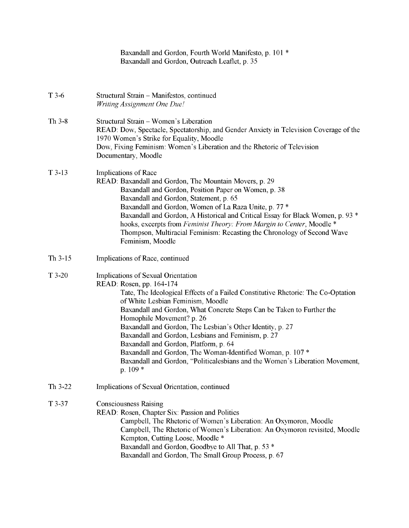|           | Baxandall and Gordon, Fourth World Manifesto, p. 101 *<br>Baxandall and Gordon, Outreach Leaflet, p. 35                                                                                                                                                                                                                                                                                                                                                                                                                                                                                                              |
|-----------|----------------------------------------------------------------------------------------------------------------------------------------------------------------------------------------------------------------------------------------------------------------------------------------------------------------------------------------------------------------------------------------------------------------------------------------------------------------------------------------------------------------------------------------------------------------------------------------------------------------------|
| $T3-6$    | Structural Strain - Manifestos, continued<br>Writing Assignment One Due!                                                                                                                                                                                                                                                                                                                                                                                                                                                                                                                                             |
| Th $3-8$  | Structural Strain - Women's Liberation<br>READ: Dow, Spectacle, Spectatorship, and Gender Anxiety in Television Coverage of the<br>1970 Women's Strike for Equality, Moodle<br>Dow, Fixing Feminism: Women's Liberation and the Rhetoric of Television<br>Documentary, Moodle                                                                                                                                                                                                                                                                                                                                        |
| $T$ 3-13  | Implications of Race<br>READ: Baxandall and Gordon, The Mountain Movers, p. 29<br>Baxandall and Gordon, Position Paper on Women, p. 38<br>Baxandall and Gordon, Statement, p. 65<br>Baxandall and Gordon, Women of La Raza Unite, p. 77 *<br>Baxandall and Gordon, A Historical and Critical Essay for Black Women, p. 93 *<br>hooks, excerpts from Feminist Theory: From Margin to Center, Moodle *<br>Thompson, Multiracial Feminism: Recasting the Chronology of Second Wave<br>Feminism, Moodle                                                                                                                  |
| Th $3-15$ | Implications of Race, continued                                                                                                                                                                                                                                                                                                                                                                                                                                                                                                                                                                                      |
| $T$ 3-20  | Implications of Sexual Orientation<br>READ: Rosen, pp. 164-174<br>Tate, The Ideological Effects of a Failed Constitutive Rhetoric: The Co-Optation<br>of White Lesbian Feminism, Moodle<br>Baxandall and Gordon, What Concrete Steps Can be Taken to Further the<br>Homophile Movement? p. 26<br>Baxandall and Gordon, The Lesbian's Other Identity, p. 27<br>Baxandall and Gordon, Lesbians and Feminism, p. 27<br>Baxandall and Gordon, Platform, p. 64<br>Baxandall and Gordon, The Woman-Identified Woman, p. 107 *<br>Baxandall and Gordon, "Politicalesbians and the Women's Liberation Movement,<br>$p. 109*$ |
| Th 3-22   | Implications of Sexual Orientation, continued                                                                                                                                                                                                                                                                                                                                                                                                                                                                                                                                                                        |
| $T$ 3-37  | <b>Consciousness Raising</b><br>READ: Rosen, Chapter Six: Passion and Politics<br>Campbell, The Rhetoric of Women's Liberation: An Oxymoron, Moodle<br>Campbell, The Rhetoric of Women's Liberation: An Oxymoron revisited, Moodle<br>Kempton, Cutting Loose, Moodle *<br>Baxandall and Gordon, Goodbye to All That, p. 53 *<br>Baxandall and Gordon, The Small Group Process, p. 67                                                                                                                                                                                                                                 |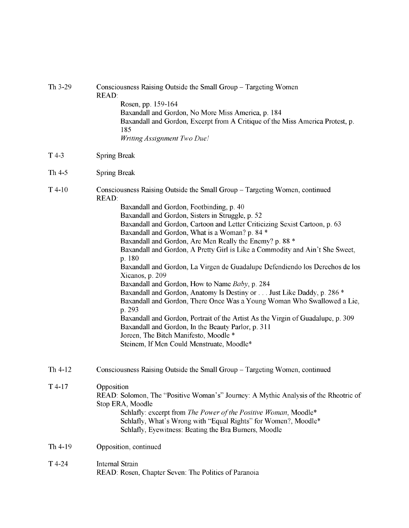| Th 3-29  | Consciousness Raising Outside the Small Group – Targeting Women<br><b>READ:</b><br>Rosen, pp. 159-164<br>Baxandall and Gordon, No More Miss America, p. 184<br>Baxandall and Gordon, Excerpt from A Critique of the Miss America Protest, p.<br>185<br>Writing Assignment Two Due!                                                                                                                                                                                                                                                                                                                                                                                                                                                                                                                                                                                                                                                                                                                                                |
|----------|-----------------------------------------------------------------------------------------------------------------------------------------------------------------------------------------------------------------------------------------------------------------------------------------------------------------------------------------------------------------------------------------------------------------------------------------------------------------------------------------------------------------------------------------------------------------------------------------------------------------------------------------------------------------------------------------------------------------------------------------------------------------------------------------------------------------------------------------------------------------------------------------------------------------------------------------------------------------------------------------------------------------------------------|
| $T$ 4-3  | <b>Spring Break</b>                                                                                                                                                                                                                                                                                                                                                                                                                                                                                                                                                                                                                                                                                                                                                                                                                                                                                                                                                                                                               |
| Th $4-5$ | <b>Spring Break</b>                                                                                                                                                                                                                                                                                                                                                                                                                                                                                                                                                                                                                                                                                                                                                                                                                                                                                                                                                                                                               |
| $T$ 4-10 | Consciousness Raising Outside the Small Group – Targeting Women, continued<br><b>READ:</b><br>Baxandall and Gordon, Footbinding, p. 40<br>Baxandall and Gordon, Sisters in Struggle, p. 52<br>Baxandall and Gordon, Cartoon and Letter Criticizing Sexist Cartoon, p. 63<br>Baxandall and Gordon, What is a Woman? p. 84 *<br>Baxandall and Gordon, Are Men Really the Enemy? p. 88 *<br>Baxandall and Gordon, A Pretty Girl is Like a Commodity and Ain't She Sweet,<br>p. 180<br>Baxandall and Gordon, La Virgen de Guadalupe Defendiendo los Derechos de los<br>Xicanos, p. 209<br>Baxandall and Gordon, How to Name Baby, p. 284<br>Baxandall and Gordon, Anatomy Is Destiny or Just Like Daddy, p. 286 *<br>Baxandall and Gordon, There Once Was a Young Woman Who Swallowed a Lie,<br>p. 293<br>Baxandall and Gordon, Portrait of the Artist As the Virgin of Guadalupe, p. 309<br>Baxandall and Gordon, In the Beauty Parlor, p. 311<br>Joreen, The Bitch Manifesto, Moodle *<br>Steinem, If Men Could Menstruate, Moodle* |
| Th 4-12  | Consciousness Raising Outside the Small Group - Targeting Women, continued                                                                                                                                                                                                                                                                                                                                                                                                                                                                                                                                                                                                                                                                                                                                                                                                                                                                                                                                                        |
| $T$ 4-17 | Opposition<br>READ: Solomon, The "Positive Woman's" Journey: A Mythic Analysis of the Rheotric of<br>Stop ERA, Moodle<br>Schlafly: excerpt from The Power of the Positive Woman, Moodle*<br>Schlafly, What's Wrong with "Equal Rights" for Women?, Moodle*<br>Schlafly, Eyewitness: Beating the Bra Burners, Moodle                                                                                                                                                                                                                                                                                                                                                                                                                                                                                                                                                                                                                                                                                                               |
| Th 4-19  | Opposition, continued                                                                                                                                                                                                                                                                                                                                                                                                                                                                                                                                                                                                                                                                                                                                                                                                                                                                                                                                                                                                             |
| T4-24    | Internal Strain<br>READ: Rosen, Chapter Seven: The Politics of Paranoia                                                                                                                                                                                                                                                                                                                                                                                                                                                                                                                                                                                                                                                                                                                                                                                                                                                                                                                                                           |